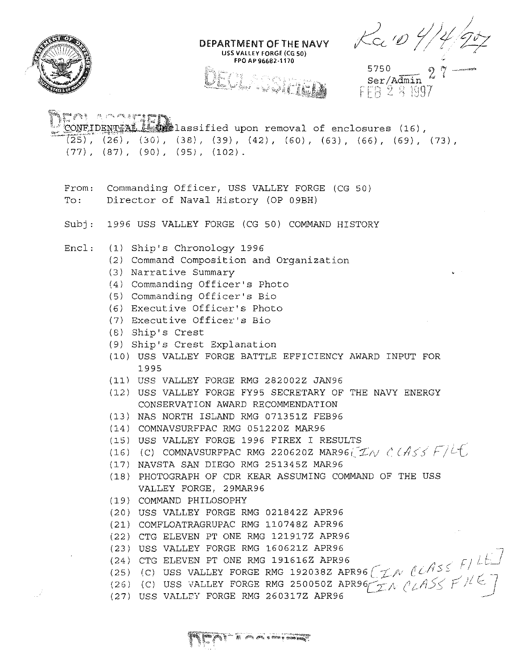

 $\frac{1}{2} \frac{1}{\sqrt{2}} \left( \frac{1}{2} \right)^{\frac{1}{2}}$ 

Ra10 4/4/2

5750<br>Ser/Admin 27 -

| CONFIDENTIAL LAND lassified upon removal of enclosures (16),<br>$(25)$ , (26), (30), (38), (39), (42), (60), (63), (66), (69), (73),<br>$(77)$ , $(87)$ , $(90)$ , $(95)$ , $(102)$ .                                                                                                                                                                                                                                                                                                                                                                                                                                                                                                                                                                                                                                                                                                                                                                                                                                                                                                                                                                                                                                                                                                                            |  |
|------------------------------------------------------------------------------------------------------------------------------------------------------------------------------------------------------------------------------------------------------------------------------------------------------------------------------------------------------------------------------------------------------------------------------------------------------------------------------------------------------------------------------------------------------------------------------------------------------------------------------------------------------------------------------------------------------------------------------------------------------------------------------------------------------------------------------------------------------------------------------------------------------------------------------------------------------------------------------------------------------------------------------------------------------------------------------------------------------------------------------------------------------------------------------------------------------------------------------------------------------------------------------------------------------------------|--|
| Commanding Officer, USS VALLEY FORGE (CG 50)<br>From:<br>Director of Naval History (OP 09BH)<br>$_{\rm TO}$ :                                                                                                                                                                                                                                                                                                                                                                                                                                                                                                                                                                                                                                                                                                                                                                                                                                                                                                                                                                                                                                                                                                                                                                                                    |  |
| 1996 USS VALLEY FORGE (CG 50) COMMAND HISTORY<br>Subj:                                                                                                                                                                                                                                                                                                                                                                                                                                                                                                                                                                                                                                                                                                                                                                                                                                                                                                                                                                                                                                                                                                                                                                                                                                                           |  |
| Encl:<br>(1) Ship's Chronology 1996<br>(2) Command Composition and Organization<br>(3) Narrative Summary<br>(4) Commanding Officer's Photo<br>(5) Commanding Officer's Bio<br>(6) Executive Officer's Photo<br>(7) Executive Officer's Bio<br>$(8)$ Ship's Crest<br>(9) Ship's Crest Explanation<br>(10) USS VALLEY FORGE BATTLE EFFICIENCY AWARD INPUT FOR<br>1995<br>(11) USS VALLEY FORGE RMG 282002Z JAN96<br>(12) USS VALLEY FORGE FY95 SECRETARY OF THE NAVY ENERGY<br>CONSERVATION AWARD RECOMMENDATION<br>(13) NAS NORTH ISLAND RMG 071351Z FEB96<br>(14) COMNAVSURFPAC RMG 051220Z MAR96<br>(15) USS VALLEY FORGE 1996 FIREX I RESULTS<br>(16) (C) COMNAVSURFPAC RMG 220620Z MAR96( $\mathcal{I}N$ $\acute{c}$ $\acute{c}A\acute{c}\acute{c}$ $\acute{F}/\overset{\circ}{c}$<br>(17) NAVSTA SAN DIEGO RMG 251345Z MAR96<br>(18) PHOTOGRAPH OF CDR KEAR ASSUMING COMMAND OF THE USS<br>VALLEY FORGE, 29MAR96<br>(19) COMMAND PHILOSOPHY<br>(20) USS VALLEY FORGE RMG 021842Z APR96<br>(21) COMFLOATRAGRUPAC RMG 110748Z APR96<br>(22) CTG ELEVEN PT ONE RMG 121917Z APR96<br>(23) USS VALLEY FORGE RMG 160621Z APR96<br>(25) (C) USS VALLEY FORGE RMG 191616Z APR96<br>(26) (C) USS VALLEY FORGE RMG 192038Z APR96<br>(27) USS VALLEY FORGE RMG 250050Z APR96<br>(27) USS VALLEY FORGE RMG 260317Z APR96 |  |
|                                                                                                                                                                                                                                                                                                                                                                                                                                                                                                                                                                                                                                                                                                                                                                                                                                                                                                                                                                                                                                                                                                                                                                                                                                                                                                                  |  |

DEPARTMENT OF THE NAVY USS VALLEY FORGE (CG 50) FPO AP 96682-1170

EU LA

EA **The company of the company**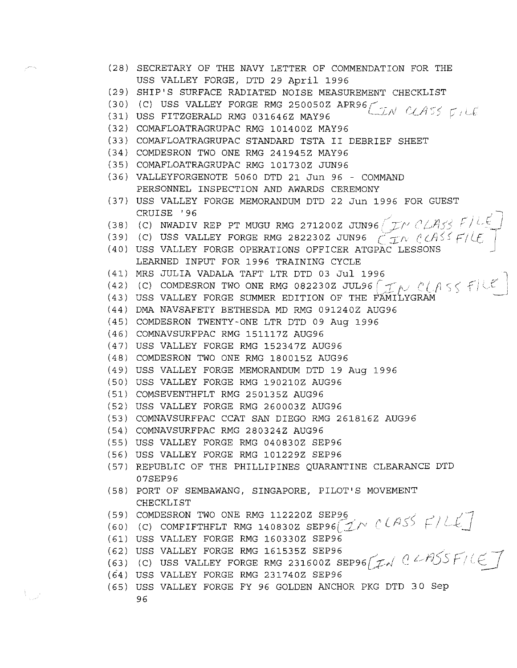| (28) SECRETARY OF THE NAVY LETTER OF COMMENDATION FOR THE                                                                                                 |
|-----------------------------------------------------------------------------------------------------------------------------------------------------------|
| USS VALLEY FORGE, DTD 29 April 1996                                                                                                                       |
| (29) SHIP'S SURFACE RADIATED NOISE MEASUREMENT CHECKLIST                                                                                                  |
| (30) (C) USS VALLEY FORGE RMG 250050Z APR96 $\bigcup_{\mathcal{U}} N$ CLASS $\bigcap_{\mathcal{U}} \bigcup_{\mathcal{U}}$                                 |
| (31) USS FITZGERALD RMG 031646Z MAY96                                                                                                                     |
| (32) COMAFLOATRAGRUPAC RMG 101400Z MAY96                                                                                                                  |
| (33) COMAFLOATRAGRUPAC STANDARD TSTA II DEBRIEF SHEET                                                                                                     |
| (34) COMDESRON TWO ONE RMG 241945Z MAY96                                                                                                                  |
| (35) COMAFLOATRAGRUPAC RMG 101730Z JUN96                                                                                                                  |
| (36) VALLEYFORGENOTE 5060 DTD 21 Jun 96 - COMMAND                                                                                                         |
| PERSONNEL INSPECTION AND AWARDS CEREMONY                                                                                                                  |
| (37) USS VALLEY FORGE MEMORANDUM DTD 22 Jun 1996 FOR GUEST                                                                                                |
| CRUISE '96                                                                                                                                                |
| (38) (C) NWADIV REP PT MUGU RMG 271200Z JUN96 $(TN C \triangle A_5)$ $F/LE$<br>(39) (C) USS VALLEY FORGE RMG 282230Z JUN96 $(TN C \triangle A_5)$ $F/LE$  |
|                                                                                                                                                           |
| (40) USS VALLEY FORGE OPERATIONS OFFICER ATGPAC LESSONS                                                                                                   |
| LEARNED INPUT FOR 1996 TRAINING CYCLE                                                                                                                     |
| (41) MRS JULIA VADALA TAFT LTR DTD 03 Jul 1996                                                                                                            |
| (42) (C) COMDESRON TWO ONE RMG 082230Z JUL96 $\boxed{\mathcal{I}}$ $\sim$ $\mathcal{C}$ $\wedge$ $\leq$ $\neq$ $\mathcal{C}$ $\neq$ $\mathcal{C}$         |
| (43) USS VALLEY FORGE SUMMER EDITION OF THE FAMILYGRAM                                                                                                    |
| (44) DMA NAVSAFETY BETHESDA MD RMG 091240Z AUG96                                                                                                          |
| (45) COMDESRON TWENTY-ONE LTR DTD 09 Aug 1996                                                                                                             |
| (46) COMNAVSURFPAC RMG 151117Z AUG96                                                                                                                      |
| (47) USS VALLEY FORGE RMG 152347Z AUG96                                                                                                                   |
| (48) COMDESRON TWO ONE RMG 180015Z AUG96                                                                                                                  |
| (49) USS VALLEY FORGE MEMORANDUM DTD 19 Aug 1996                                                                                                          |
| (50) USS VALLEY FORGE RMG 190210Z AUG96                                                                                                                   |
| (51) COMSEVENTHFLT RMG 250135Z AUG96                                                                                                                      |
| (52) USS VALLEY FORGE RMG 260003Z AUG96                                                                                                                   |
| (53) COMNAVSURFPAC CCAT SAN DIEGO RMG 261816Z AUG96                                                                                                       |
| (54) COMNAVSURFPAC RMG 280324Z AUG96                                                                                                                      |
| (55) USS VALLEY FORGE RMG 040830Z SEP96                                                                                                                   |
| (56) USS VALLEY FORGE RMG 101229Z SEP96                                                                                                                   |
| (57) REPUBLIC OF THE PHILLIPINES QUARANTINE CLEARANCE DTD                                                                                                 |
| 07SEP96                                                                                                                                                   |
|                                                                                                                                                           |
| (58) PORT OF SEMBAWANG, SINGAPORE, PILOT'S MOVEMENT                                                                                                       |
| CHECKLIST                                                                                                                                                 |
| (59) COMDESRON TWO ONE RMG 112220Z SEP96                                                                                                                  |
|                                                                                                                                                           |
| (60) (C) COMFIFTHFLT RMG 1408302 SEP96 $\cancel{\leq}$ / $\cancel{\leq}$ / $\cancel{\leq}$ / $\cancel{\leq}$ /<br>(61) USS VALLEY FORGE RMG 160330Z SEP96 |
| (62) USS VALLEY FORGE RMG 161535Z SEP96                                                                                                                   |
|                                                                                                                                                           |
| (63) (C) USS VALLEY FORGE RMG 231600Z SEP96 $Z$ d $\ell$ BSS F/LE $7$<br>(64) USS VALLEY FORGE RMG 231740Z SEP96                                          |
| (65) USS VALLEY FORGE FY 96 GOLDEN ANCHOR PKG DTD 30 Sep                                                                                                  |

 $\hat{\vec{z}}^{pump}$ 

 $V_{\mu\nu}$  .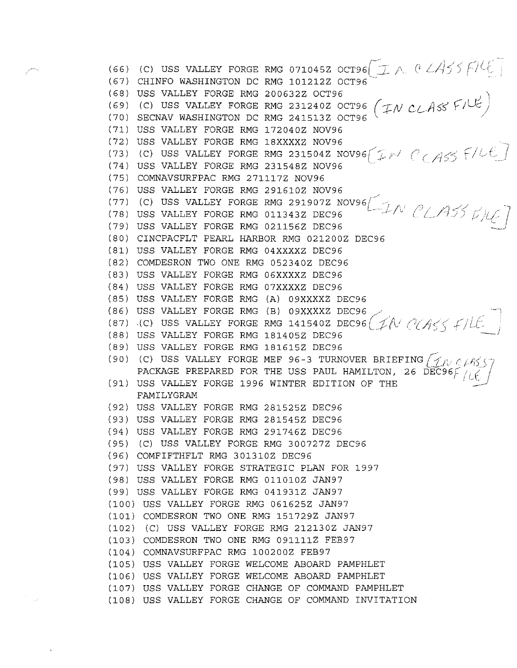( 66) ( 67) (68) ( 69) ( 70) ( 71) USS VALLEY FORGE RMG 1720402 NOV96 (72) USS VALLEY FORGE RMG 18XXXXZ NOV96 ( 73) ( 74) (75) COMNAVSURFPAC RMG 2711172 NOV96 ( 76) ( 77) (78) ( 7 9) USS VALLEY FORGE RMG 0211562 DEC96 ( 80) CINCPACFLT PEARL HARBOR RMG 0212002 DEC96 ( 81) USS VALLEY FORGE RMG 04XXXX2 DEC96 ( 82) COMDESRON TWO ONE RMG 0523402 DEC96 ( 83) USS VALLEY FORGE RMG 06XXXX2 DEC96 (84) USS VALLEY FORGE RMG 07XXXX2 DEC96 ( 85) USS VALLEY FORGE RMG (A) 09XXXX2 DEC96 ( 8 6) USS VALLEY FORGE RMG (87) (C) USS VALLEY FORGE ( 88) USS VALLEY FORGE RMG 1814052 DEC96 ( 8 9) USS VALLEY FORGE RMG 1816152 DEC96 (90) (C) USS VALLEY FORGE MEF 96-3 TURNOVER BRIEFING  $\bigl(\mathcal{J}_\mathcal{N} \in \mathcal{A} \mathcal{S} \setminus \mathcal{J}$ (91) USS VALLEY FORGE 1996 WINTER EDITION OF THE ( 92) USS VALLEY FORGE RMG 2815252 DEC96 ( 93) USS VALLEY FORGE RMG 2815452 DEC96 ( 94) USS VALLEY FORGE RMG 2917462 DEC96 (95) (C) USS VALLEY FORGE RMG 3007272 DEC96 (96) COMFIFTHFLT RMG 3013102 DEC96 ( 97) USS VALLEY FORGE STRATEGIC PLAN FOR 1997 (98) USS VALLEY FORGE RMG 0110102 JAN97 (99) USS VALLEY FORGE RMG 0419312 JAN97 ( 100) USS VALLEY FORGE RMG 0616252 JAN97 (C) USS VALLEY FORGE RMG 071045Z OCT96 $\left(\begin{array}{cc} \mathcal{D} \end{array} \right)$ CHINFO WASHINGTON DC RMG 101212Z OCT96 $\,$ USS VALLEY FORGE RMG 2006322 OCT96 (C) USS VALLEY FORGE RMG 2312402 OCT96 SECNAV WASHINGTON DC RMG 2415132 OCT96 (C) USS VALLEY FORGE USS VALLEY FORGE RMG **RMG 231504Z NOV96** $\sqrt{\mathcal{I}}$ 231548Z NOV96 USS VALLEY FORGE RMG 291610Z NOV96 (C) USS VALLEY FORGE RMG 291907Z NOV96 $\left( \begin{array}{cc} \searrow & \nearrow & \nearrow \end{array} \right)$ USS VALLEY FORGE RMG 011343Z DEC96 (B) 09XXXX2 DEC96 / RMG 141540Z DEC96  $(1/\sqrt{1})$  $\epsilon$  / PACKAGE PREPARED FOR THE USS PAUL HAMILTON, 26 DEC96F  $\overline{\prime}/\overline{\widetilde{\epsilon}}$  / FAMILYGRAM (101) COMDESRON TWO ONE RMG 1517292 JAN97 (102) (C) USS VALLEY FORGE RMG 2121302 JAN97 (103) COMDESRON TWO ONE RMG 0911112 FEB97 (104) COMNAVSURFPAC RMG 1002002 FEB97 (105) USS VALLEY FORGE WELCOME ABOARD PAMPHLET (106) USS VALLEY FORGE WELCOME ABOARD PAMPHLET ( 10 7) USS VALLEY FORGE CHANGE OF COMMAND PAMPHLET ( 10 8) USS VALLEY FORGE CHANGE OF COMMAND INVITATION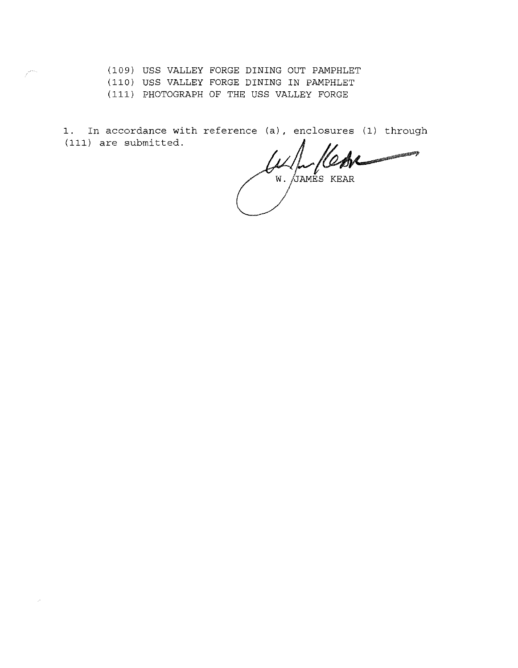(109) USS VALLEY FORGE DINING OUT PAMPHLET

(110) USS VALLEY FORGE DINING IN PAMPHLET

(111) PHOTOGRAPH OF THE USS VALLEY FORGE

1. In accordance with reference (a), enclosures (1) through (111) are submitted.

W. JAMES KEAR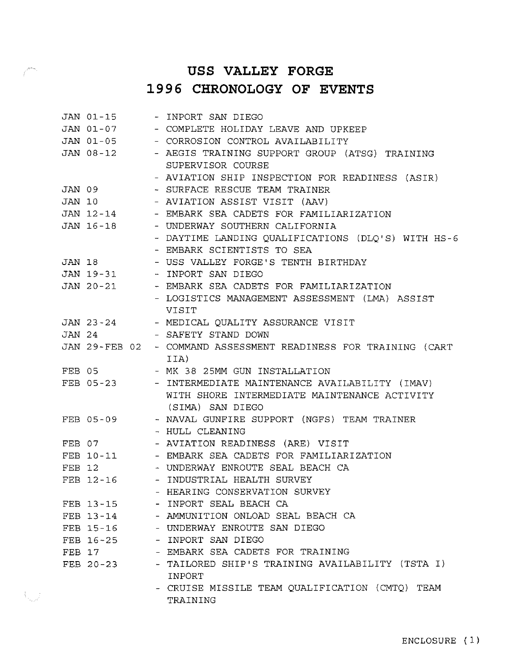## **USS VALLEY FORGE 1996 CHRONOLOGY OF EVENTS**

|        | JAN 01-15 | - INPORT SAN DIEGO                                              |
|--------|-----------|-----------------------------------------------------------------|
|        |           | JAN 01-07 - COMPLETE HOLIDAY LEAVE AND UPKEEP                   |
|        |           | JAN 01-05 - CORROSION CONTROL AVAILABILITY                      |
|        | JAN 08-12 | - AEGIS TRAINING SUPPORT GROUP (ATSG) TRAINING                  |
|        |           | SUPERVISOR COURSE                                               |
|        |           | - AVIATION SHIP INSPECTION FOR READINESS (ASIR)                 |
|        | JAN 09    | - SURFACE RESCUE TEAM TRAINER                                   |
| JAN 10 |           | - AVIATION ASSIST VISIT (AAV)                                   |
|        |           | JAN 12-14 - EMBARK SEA CADETS FOR FAMILIARIZATION               |
|        | JAN 16-18 | - UNDERWAY SOUTHERN CALIFORNIA                                  |
|        |           | - DAYTIME LANDING QUALIFICATIONS (DLQ'S) WITH HS-6              |
|        |           | - EMBARK SCIENTISTS TO SEA                                      |
|        | JAN 18    | - USS VALLEY FORGE'S TENTH BIRTHDAY                             |
|        |           | JAN 19-31 - INPORT SAN DIEGO                                    |
|        |           | JAN 20-21 - EMBARK SEA CADETS FOR FAMILIARIZATION               |
|        |           | - LOGISTICS MANAGEMENT ASSESSMENT (LMA) ASSIST                  |
|        |           | VISIT                                                           |
|        | JAN 23-24 | - MEDICAL QUALITY ASSURANCE VISIT                               |
| JAN 24 |           | - SAFETY STAND DOWN                                             |
|        |           | JAN 29-FEB 02 - COMMAND ASSESSMENT READINESS FOR TRAINING (CART |
|        |           | IIA)                                                            |
| FEB 05 |           | - MK 38 25MM GUN INSTALLATION                                   |
|        | FEB 05-23 | - INTERMEDIATE MAINTENANCE AVAILABILITY (IMAV)                  |
|        |           | WITH SHORE INTERMEDIATE MAINTENANCE ACTIVITY                    |
|        |           | (SIMA) SAN DIEGO                                                |
|        | FEB 05-09 | - NAVAL GUNFIRE SUPPORT (NGFS) TEAM TRAINER                     |
|        |           | - HULL CLEANING                                                 |
| FEB 07 |           | - AVIATION READINESS (ARE) VISIT                                |
|        |           | FEB 10-11 - EMBARK SEA CADETS FOR FAMILIARIZATION               |
| FEB 12 |           | - UNDERWAY ENROUTE SEAL BEACH CA                                |
|        |           | FEB 12-16 - INDUSTRIAL HEALTH SURVEY                            |
|        |           | - HEARING CONSERVATION SURVEY                                   |
|        | FEB 13-15 | - INPORT SEAL BEACH CA                                          |
|        | FEB 13-14 | - AMMUNITION ONLOAD SEAL BEACH CA                               |
|        | FEB 15-16 | - UNDERWAY ENROUTE SAN DIEGO                                    |
|        | FEB 16-25 | - INPORT SAN DIEGO                                              |
|        | FEB 17    | - EMBARK SEA CADETS FOR TRAINING                                |
|        | FEB 20-23 | - TAILORED SHIP'S TRAINING AVAILABILITY (TSTA I)                |
|        |           | <b>INPORT</b>                                                   |
|        |           | - CRUISE MISSILE TEAM QUALIFICATION (CMTQ) TEAM                 |
|        |           | TRAINING                                                        |

 $\mathcal{N}_{\text{max}}$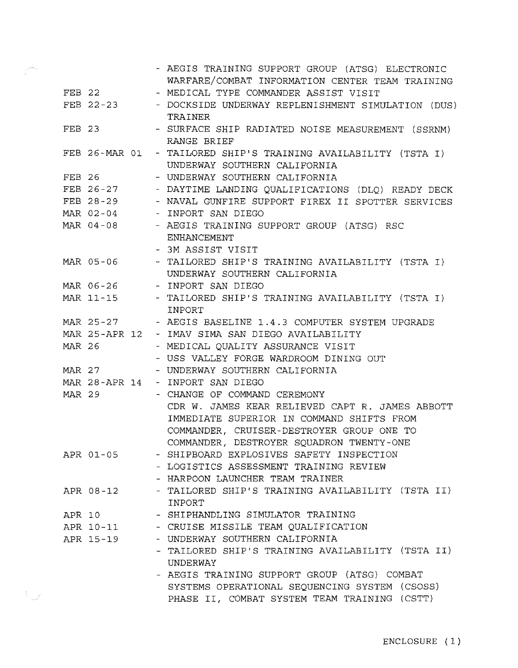|               |               |  | - AEGIS TRAINING SUPPORT GROUP (ATSG) ELECTRONIC                                 |
|---------------|---------------|--|----------------------------------------------------------------------------------|
|               |               |  | WARFARE/COMBAT INFORMATION CENTER TEAM TRAINING                                  |
|               | $FEB$ 22      |  | - MEDICAL TYPE COMMANDER ASSIST VISIT                                            |
|               | FEB 22-23     |  | - DOCKSIDE UNDERWAY REPLENISHMENT SIMULATION (DUS)<br>TRAINER                    |
| FEB 23        |               |  | - SURFACE SHIP RADIATED NOISE MEASUREMENT (SSRNM)                                |
|               |               |  | RANGE BRIEF                                                                      |
|               | FEB 26-MAR 01 |  | - TAILORED SHIP'S TRAINING AVAILABILITY (TSTA I)<br>UNDERWAY SOUTHERN CALIFORNIA |
| FEB 26        |               |  | - UNDERWAY SOUTHERN CALIFORNIA                                                   |
|               | FEB 26-27     |  | - DAYTIME LANDING QUALIFICATIONS (DLQ) READY DECK                                |
|               | FEB 28-29     |  | - NAVAL GUNFIRE SUPPORT FIREX II SPOTTER SERVICES                                |
|               | MAR 02-04     |  | - INPORT SAN DIEGO                                                               |
|               | MAR 04-08     |  | - AEGIS TRAINING SUPPORT GROUP (ATSG) RSC                                        |
|               |               |  | <b>ENHANCEMENT</b>                                                               |
|               |               |  | - 3M ASSIST VISIT                                                                |
|               | MAR 05-06     |  | - TAILORED SHIP'S TRAINING AVAILABILITY (TSTA I)                                 |
|               |               |  | UNDERWAY SOUTHERN CALIFORNIA                                                     |
|               |               |  | MAR 06-26 - INPORT SAN DIEGO                                                     |
|               | MAR 11-15     |  | - TAILORED SHIP'S TRAINING AVAILABILITY (TSTA I)                                 |
|               |               |  | INPORT                                                                           |
|               | MAR 25-27     |  | - AEGIS BASELINE 1.4.3 COMPUTER SYSTEM UPGRADE                                   |
|               | MAR 25-APR 12 |  | - IMAV SIMA SAN DIEGO AVAILABILITY                                               |
| MAR 26        |               |  | - MEDICAL QUALITY ASSURANCE VISIT                                                |
|               |               |  | - USS VALLEY FORGE WARDROOM DINING OUT                                           |
|               | MAR 27        |  | - UNDERWAY SOUTHERN CALIFORNIA                                                   |
|               | MAR 28-APR 14 |  | - INPORT SAN DIEGO                                                               |
| <b>MAR 29</b> |               |  | - CHANGE OF COMMAND CEREMONY                                                     |
|               |               |  | CDR W. JAMES KEAR RELIEVED CAPT R. JAMES ABBOTT                                  |
|               |               |  | IMMEDIATE SUPERIOR IN COMMAND SHIFTS FROM                                        |
|               |               |  | COMMANDER, CRUISER-DESTROYER GROUP ONE TO                                        |
|               |               |  | COMMANDER, DESTROYER SQUADRON TWENTY-ONE                                         |
|               | APR 01-05     |  | - SHIPBOARD EXPLOSIVES SAFETY INSPECTION                                         |
|               |               |  | - LOGISTICS ASSESSMENT TRAINING REVIEW                                           |
|               |               |  | - HARPOON LAUNCHER TEAM TRAINER                                                  |
|               | APR 08-12     |  | - TAILORED SHIP'S TRAINING AVAILABILITY (TSTA II)                                |
|               |               |  | INPORT                                                                           |
| APR 10        |               |  | - SHIPHANDLING SIMULATOR TRAINING                                                |
|               | APR 10-11     |  | - CRUISE MISSILE TEAM OUALIFICATION                                              |
|               | APR 15-19     |  | - UNDERWAY SOUTHERN CALIFORNIA                                                   |
|               |               |  | - TAILORED SHIP'S TRAINING AVAILABILITY (TSTA II)                                |
|               |               |  | UNDERWAY                                                                         |
|               |               |  | - AEGIS TRAINING SUPPORT GROUP (ATSG) COMBAT                                     |
|               |               |  | SYSTEMS OPERATIONAL SEQUENCING SYSTEM (CSOSS)                                    |
|               |               |  | PHASE II, COMBAT SYSTEM TEAM TRAINING (CSTT)                                     |

 $\hat{t}^{\text{mean}}$ 

 $\left\langle \left\langle \right\rangle _{a_{\text{max}}}\rho^{a_{\text{max}}},\right\rangle _{a_{\text{max}}},$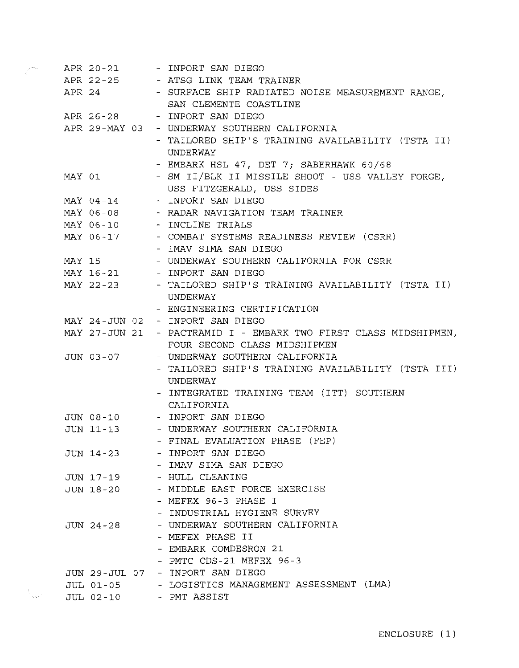|        |               |  | APR 20-21 - INPORT SAN DIEGO                       |
|--------|---------------|--|----------------------------------------------------|
|        |               |  | APR 22-25 - ATSG LINK TEAM TRAINER                 |
|        | APR 24        |  | - SURFACE SHIP RADIATED NOISE MEASUREMENT RANGE,   |
|        |               |  | SAN CLEMENTE COASTLINE                             |
|        | APR 26-28     |  | - INPORT SAN DIEGO                                 |
|        |               |  | APR 29-MAY 03 - UNDERWAY SOUTHERN CALIFORNIA       |
|        |               |  | - TAILORED SHIP'S TRAINING AVAILABILITY (TSTA II)  |
|        |               |  | UNDERWAY                                           |
|        |               |  | - EMBARK HSL 47, DET 7; SABERHAWK 60/68            |
|        | MAY 01        |  | - SM II/BLK II MISSILE SHOOT - USS VALLEY FORGE,   |
|        |               |  | USS FITZGERALD, USS SIDES                          |
|        | MAY 04-14     |  | - INPORT SAN DIEGO                                 |
|        |               |  | MAY 06-08 - RADAR NAVIGATION TEAM TRAINER          |
|        |               |  | MAY 06-10 - INCLINE TRIALS                         |
|        |               |  | MAY 06-17 - COMBAT SYSTEMS READINESS REVIEW (CSRR) |
|        |               |  | - IMAV SIMA SAN DIEGO                              |
| MAY 15 |               |  | - UNDERWAY SOUTHERN CALIFORNIA FOR CSRR            |
|        |               |  | MAY 16-21 - INPORT SAN DIEGO                       |
|        | MAY 22-23     |  | - TAILORED SHIP'S TRAINING AVAILABILITY (TSTA II)  |
|        |               |  | UNDERWAY                                           |
|        |               |  | - ENGINEERING CERTIFICATION                        |
|        |               |  | MAY 24-JUN 02 - INPORT SAN DIEGO                   |
|        | MAY 27-JUN 21 |  | - PACTRAMID I - EMBARK TWO FIRST CLASS MIDSHIPMEN, |
|        |               |  | FOUR SECOND CLASS MIDSHIPMEN                       |
|        | JUN 03-07     |  | - UNDERWAY SOUTHERN CALIFORNIA                     |
|        |               |  | - TAILORED SHIP'S TRAINING AVAILABILITY (TSTA III) |
|        |               |  | UNDERWAY                                           |
|        |               |  | - INTEGRATED TRAINING TEAM (ITT) SOUTHERN          |
|        |               |  | CALIFORNIA                                         |
|        |               |  | JUN 08-10 - INPORT SAN DIEGO                       |
|        | JUN 11-13     |  | - UNDERWAY SOUTHERN CALIFORNIA                     |
|        |               |  | FINAL EVALUATION PHASE (FEP)                       |
|        | $JUN$ 14-23   |  | - INPORT SAN DIEGO                                 |
|        |               |  | - IMAV SIMA SAN DIEGO                              |
|        | JUN 17-19     |  | - HULL CLEANING                                    |
|        | JUN 18-20     |  | - MIDDLE EAST FORCE EXERCISE                       |
|        |               |  | - MEFEX 96-3 PHASE I                               |
|        |               |  | - INDUSTRIAL HYGIENE SURVEY                        |
|        | JUN 24-28     |  | - UNDERWAY SOUTHERN CALIFORNIA                     |
|        |               |  | - MEFEX PHASE II                                   |
|        |               |  | - EMBARK COMDESRON 21                              |
|        |               |  | - PMTC CDS-21 MEFEX 96-3                           |
|        | JUN 29-JUL 07 |  | - INPORT SAN DIEGO                                 |
|        | JUL 01-05     |  | - LOGISTICS MANAGEMENT ASSESSMENT (LMA)            |
|        | JUL 02-10     |  | - PMT ASSIST                                       |

 $\hat{\epsilon}^{\text{center}}$ 

 $\left\langle \right\rangle _{sym^{2}}$  .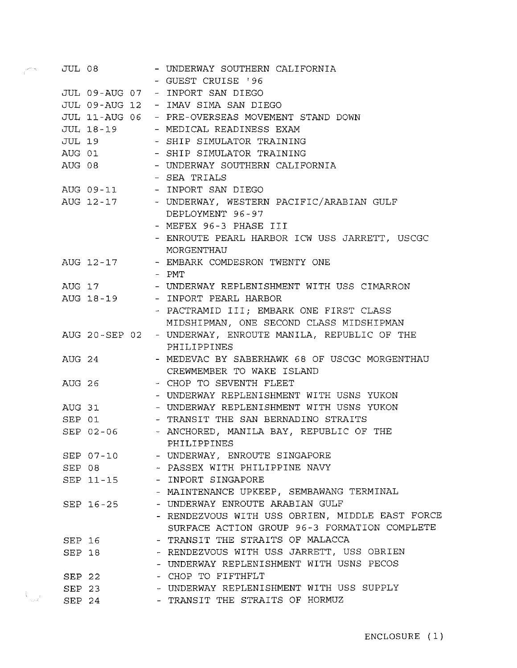| JUL 08 |           | - UNDERWAY SOUTHERN CALIFORNIA                              |
|--------|-----------|-------------------------------------------------------------|
|        |           | - GUEST CRUISE '96                                          |
|        |           | JUL 09-AUG 07 - INPORT SAN DIEGO                            |
|        |           | JUL 09-AUG 12 - IMAV SIMA SAN DIEGO                         |
|        |           | JUL 11-AUG 06 - PRE-OVERSEAS MOVEMENT STAND DOWN            |
|        |           | JUL 18-19 - MEDICAL READINESS EXAM                          |
|        |           | JUL 19 - SHIP SIMULATOR TRAINING                            |
|        |           | AUG 01 - SHIP SIMULATOR TRAINING                            |
|        | AUG 08    | - UNDERWAY SOUTHERN CALIFORNIA                              |
|        |           | - SEA TRIALS                                                |
|        |           | AUG 09-11 - INPORT SAN DIEGO                                |
|        |           | AUG 12-17 - UNDERWAY, WESTERN PACIFIC/ARABIAN GULF          |
|        |           | DEPLOYMENT 96-97                                            |
|        |           | - MEFEX 96-3 PHASE III                                      |
|        |           | - ENROUTE PEARL HARBOR ICW USS JARRETT, USCGC<br>MORGENTHAU |
|        |           | AUG 12-17 - EMBARK COMDESRON TWENTY ONE                     |
|        |           | - PMT                                                       |
|        | AUG 17    | - UNDERWAY REPLENISHMENT WITH USS CIMARRON                  |
|        |           | AUG 18-19 - INPORT PEARL HARBOR                             |
|        |           | - PACTRAMID III; EMBARK ONE FIRST CLASS                     |
|        |           | MIDSHIPMAN, ONE SECOND CLASS MIDSHIPMAN                     |
|        |           | AUG 20-SEP 02 - UNDERWAY, ENROUTE MANILA, REPUBLIC OF THE   |
|        |           | PHILIPPINES                                                 |
| AUG 24 |           | - MEDEVAC BY SABERHAWK 68 OF USCGC MORGENTHAU               |
|        |           | CREWMEMBER TO WAKE ISLAND                                   |
|        | AUG 26    | - CHOP TO SEVENTH FLEET                                     |
|        |           | - UNDERWAY REPLENISHMENT WITH USNS YUKON                    |
|        |           | AUG 31 - UNDERWAY REPLENISHMENT WITH USNS YUKON             |
|        | SEP 01    | - TRANSIT THE SAN BERNADINO STRAITS                         |
|        |           | SEP 02-06 - ANCHORED, MANILA BAY, REPUBLIC OF THE           |
|        |           | PHILIPPINES                                                 |
|        | SEP 07-10 | - UNDERWAY, ENROUTE SINGAPORE                               |
|        | SEP 08    | - PASSEX WITH PHILIPPINE NAVY                               |
|        | SEP 11-15 | - INPORT SINGAPORE                                          |
|        |           | - MAINTENANCE UPKEEP, SEMBAWANG TERMINAL                    |
|        | SEP 16-25 | - UNDERWAY ENROUTE ARABIAN GULF                             |
|        |           | - RENDEZVOUS WITH USS OBRIEN, MIDDLE EAST FORCE             |
|        |           | SURFACE ACTION GROUP 96-3 FORMATION COMPLETE                |
|        | SEP 16    | - TRANSIT THE STRAITS OF MALACCA                            |
|        | SEP 18    | - RENDEZVOUS WITH USS JARRETT, USS OBRIEN                   |
|        |           | - UNDERWAY REPLENISHMENT WITH USNS PECOS                    |
|        | SEP 22    | - CHOP TO FIFTHFLT                                          |
|        | $SEP$ 23  | - UNDERWAY REPLENISHMENT WITH USS SUPPLY                    |
|        | SEP 24    | - TRANSIT THE STRAITS OF HORMUZ                             |

 $\hat{\vec{r}}^{j}$ 

 $V_{\rm gal}$  .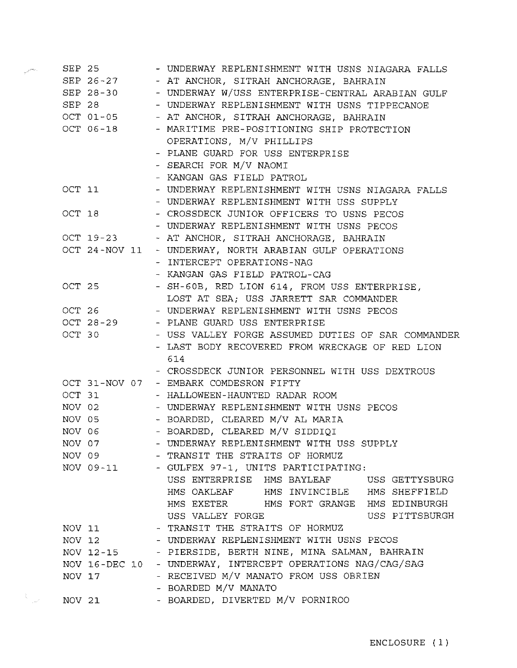|                                                                                                                                                                                                                                                                                              | SEP 25    | - UNDERWAY REPLENISHMENT WITH USNS NIAGARA FALLS                                                    |
|----------------------------------------------------------------------------------------------------------------------------------------------------------------------------------------------------------------------------------------------------------------------------------------------|-----------|-----------------------------------------------------------------------------------------------------|
|                                                                                                                                                                                                                                                                                              |           | SEP 26-27 - AT ANCHOR, SITRAH ANCHORAGE, BAHRAIN                                                    |
|                                                                                                                                                                                                                                                                                              |           | SEP 28-30 - UNDERWAY W/USS ENTERPRISE-CENTRAL ARABIAN GULF                                          |
|                                                                                                                                                                                                                                                                                              | SEP 28    | - UNDERWAY REPLENISHMENT WITH USNS TIPPECANOE                                                       |
|                                                                                                                                                                                                                                                                                              | OCT 01-05 | - AT ANCHOR, SITRAH ANCHORAGE, BAHRAIN                                                              |
|                                                                                                                                                                                                                                                                                              | OCT 06-18 | - MARITIME PRE-POSITIONING SHIP PROTECTION                                                          |
|                                                                                                                                                                                                                                                                                              |           | OPERATIONS, M/V PHILLIPS                                                                            |
|                                                                                                                                                                                                                                                                                              |           | - PLANE GUARD FOR USS ENTERPRISE                                                                    |
|                                                                                                                                                                                                                                                                                              |           | - SEARCH FOR M/V NAOMI                                                                              |
|                                                                                                                                                                                                                                                                                              |           | - KANGAN GAS FIELD PATROL                                                                           |
|                                                                                                                                                                                                                                                                                              | OCT 11    | - UNDERWAY REPLENISHMENT WITH USNS NIAGARA FALLS                                                    |
|                                                                                                                                                                                                                                                                                              |           | - UNDERWAY REPLENISHMENT WITH USS SUPPLY                                                            |
|                                                                                                                                                                                                                                                                                              | OCT 18    | - CROSSDECK JUNIOR OFFICERS TO USNS PECOS                                                           |
|                                                                                                                                                                                                                                                                                              |           | - UNDERWAY REPLENISHMENT WITH USNS PECOS                                                            |
|                                                                                                                                                                                                                                                                                              | OCT 19-23 | - AT ANCHOR, SITRAH ANCHORAGE, BAHRAIN                                                              |
|                                                                                                                                                                                                                                                                                              |           | OCT 24-NOV 11 - UNDERWAY, NORTH ARABIAN GULF OPERATIONS                                             |
|                                                                                                                                                                                                                                                                                              |           | - INTERCEPT OPERATIONS-NAG                                                                          |
|                                                                                                                                                                                                                                                                                              |           | - KANGAN GAS FIELD PATROL-CAG                                                                       |
|                                                                                                                                                                                                                                                                                              | OCT 25    | - SH-60B, RED LION 614, FROM USS ENTERPRISE,                                                        |
|                                                                                                                                                                                                                                                                                              |           | LOST AT SEA; USS JARRETT SAR COMMANDER                                                              |
|                                                                                                                                                                                                                                                                                              |           | OCT 26 - UNDERWAY REPLENISHMENT WITH USNS PECOS                                                     |
|                                                                                                                                                                                                                                                                                              |           | OCT 28-29 - PLANE GUARD USS ENTERPRISE                                                              |
|                                                                                                                                                                                                                                                                                              | OCT 30    | - USS VALLEY FORGE ASSUMED DUTIES OF SAR COMMANDER                                                  |
|                                                                                                                                                                                                                                                                                              |           | - LAST BODY RECOVERED FROM WRECKAGE OF RED LION                                                     |
|                                                                                                                                                                                                                                                                                              |           | 614                                                                                                 |
|                                                                                                                                                                                                                                                                                              |           | - CROSSDECK JUNIOR PERSONNEL WITH USS DEXTROUS                                                      |
|                                                                                                                                                                                                                                                                                              |           | OCT 31-NOV 07 - EMBARK COMDESRON FIFTY                                                              |
|                                                                                                                                                                                                                                                                                              | OCT 31    | - HALLOWEEN-HAUNTED RADAR ROOM                                                                      |
|                                                                                                                                                                                                                                                                                              | NOV 02    | - UNDERWAY REPLENISHMENT WITH USNS PECOS                                                            |
|                                                                                                                                                                                                                                                                                              | NOV 05    | - BOARDED, CLEARED M/V AL MARIA                                                                     |
|                                                                                                                                                                                                                                                                                              | NOV 06    | - BOARDED, CLEARED M/V SIDDIQI                                                                      |
|                                                                                                                                                                                                                                                                                              | NOV 07    | - UNDERWAY REPLENISHMENT WITH USS SUPPLY                                                            |
|                                                                                                                                                                                                                                                                                              | NOV 09    | - TRANSIT THE STRAITS OF HORMUZ                                                                     |
|                                                                                                                                                                                                                                                                                              | NOV 09-11 | - GULFEX 97-1, UNITS PARTICIPATING:                                                                 |
|                                                                                                                                                                                                                                                                                              |           | USS ENTERPRISE HMS BAYLEAF USS GETTYSBURG                                                           |
|                                                                                                                                                                                                                                                                                              |           | HMS OAKLEAF HMS INVINCIBLE HMS SHEFFIELD                                                            |
|                                                                                                                                                                                                                                                                                              |           | HMS EXETER HMS FORT GRANGE HMS EDINBURGH                                                            |
|                                                                                                                                                                                                                                                                                              |           | USS VALLEY FORGE<br>USS PITTSBURGH                                                                  |
|                                                                                                                                                                                                                                                                                              | NOV 11    | - TRANSIT THE STRAITS OF HORMUZ                                                                     |
|                                                                                                                                                                                                                                                                                              | $NOV$ 12  | - UNDERWAY REPLENISHMENT WITH USNS PECOS                                                            |
|                                                                                                                                                                                                                                                                                              |           | NOV 12-15 - PIERSIDE, BERTH NINE, MINA SALMAN, BAHRAIN                                              |
|                                                                                                                                                                                                                                                                                              |           | NOV 16-DEC 10 - UNDERWAY, INTERCEPT OPERATIONS NAG/CAG/SAG<br>- RECEIVED M/V MANATO FROM USS OBRIEN |
|                                                                                                                                                                                                                                                                                              | NOV 17    | - BOARDED M/V MANATO                                                                                |
| $\frac{1}{2} \int_{\mathbb{R}^3} \frac{1}{\sqrt{2}} \, \mathrm{d} \theta \, \mathrm{d} \theta = \frac{1}{2} \int_{\mathbb{R}^3} \frac{1}{\sqrt{2}} \, \mathrm{d} \theta \, \mathrm{d} \theta = \frac{1}{2} \int_{\mathbb{R}^3} \frac{1}{\sqrt{2}} \, \mathrm{d} \theta \, \mathrm{d} \theta$ |           | - BOARDED, DIVERTED M/V PORNIROO                                                                    |
|                                                                                                                                                                                                                                                                                              | NOV 21    |                                                                                                     |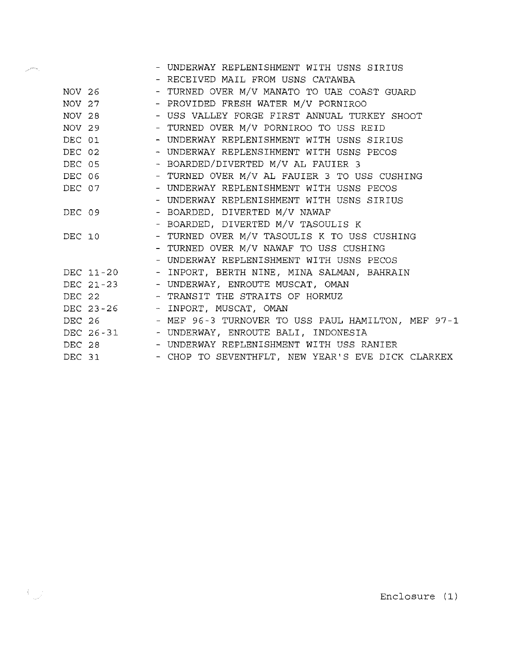|        |           | - UNDERWAY REPLENISHMENT WITH USNS SIRIUS           |
|--------|-----------|-----------------------------------------------------|
|        |           | - RECEIVED MAIL FROM USNS CATAWBA                   |
|        | NOV 26    | - TURNED OVER M/V MANATO TO UAE COAST GUARD         |
|        | $NOV$ 27  | - PROVIDED FRESH WATER M/V PORNIROO                 |
|        |           | NOV 28 - USS VALLEY FORGE FIRST ANNUAL TURKEY SHOOT |
|        | NOV 29    | - TURNED OVER M/V PORNIROO TO USS REID              |
|        | DEC 01    | - UNDERWAY REPLENISHMENT WITH USNS SIRIUS           |
|        | DEC 02    | - UNDERWAY REPLENSIHMENT WITH USNS PECOS            |
|        | DEC 05    | - BOARDED/DIVERTED M/V AL FAUIER 3                  |
|        | DEC 06    | - TURNED OVER M/V AL FAUIER 3 TO USS CUSHING        |
|        | DEC 07    | - UNDERWAY REPLENISHMENT WITH USNS PECOS            |
|        |           | - UNDERWAY REPLENISHMENT WITH USNS SIRIUS           |
|        | DEC 09    | - BOARDED, DIVERTED M/V NAWAF                       |
|        |           | - BOARDED, DIVERTED M/V TASOULIS K                  |
|        | DEC 10    | - TURNED OVER M/V TASOULIS K TO USS CUSHING         |
|        |           | - TURNED OVER M/V NAWAF TO USS CUSHING              |
|        |           | - UNDERWAY REPLENISHMENT WITH USNS PECOS            |
|        | DEC 11-20 | - INPORT, BERTH NINE, MINA SALMAN, BAHRAIN          |
|        |           | DEC 21-23 - UNDERWAY, ENROUTE MUSCAT, OMAN          |
|        |           | DEC 22 - TRANSIT THE STRAITS OF HORMUZ              |
|        |           | DEC 23-26 - INPORT, MUSCAT, OMAN                    |
| DEC 26 |           | - MEF 96-3 TURNOVER TO USS PAUL HAMILTON, MEF 97-1  |
|        |           | DEC 26-31 - UNDERWAY, ENROUTE BALI, INDONESIA       |
|        |           | DEC 28 - UNDERWAY REPLENISHMENT WITH USS RANIER     |
|        | DEC 31    | - CHOP TO SEVENTHFLT, NEW YEAR'S EVE DICK CLARKEX   |

and a manager

 $\bigcup_{i=1}^n \mathbb{Z}^d$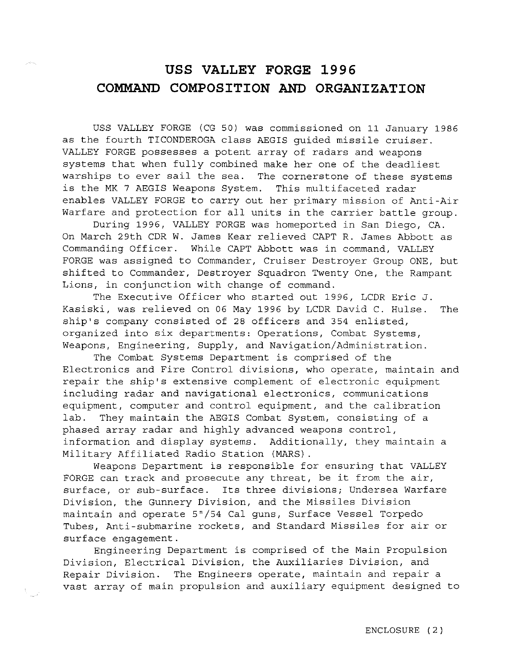## **USS VALLEY FORGE 1996 COMMAND COMPOSITION AND ORGANIZATION**

USS VALLEY FORGE (CG 50) was commissioned on 11 January 1986 as the fourth TICONDEROGA class AEGIS guided missile cruiser. VALLEY FORGE possesses a potent array of radars and weapons systems that when fully combined make her one of the deadliest warships to ever sail the sea. The cornerstone of these systems is the MK 7 AEGIS Weapons System. This multifaceted radar enables VALLEY FORGE to carry out her primary mission of Anti-Air Warfare and protection for all units in the carrier battle group.

During 1996, VALLEY FORGE was homeported in San Diego, CA. On March 29th CDR W. James Kear relieved CAPT R. James Abbott as Commanding Officer. While CAPT Abbott was in command, VALLEY FORGE was assigned to Commander, Cruiser Destroyer Group ONE, but shifted to Commander, Destroyer Squadron Twenty One, the Rampant Lions, in conjunction with change of command.

The Executive Officer who started out 1996, LCDR Eric J. Kasiski, was relieved on 06 May 1996 by LCDR David C. Hulse. The ship's company consisted of 28 officers and 354 enlisted, organized into six departments: Operations, Combat Systems, Weapons, Engineering, Supply, and Navigation/Administration.

The Combat Systems Department is comprised of the Electronics and Fire Control divisions, who operate, maintain and repair the ship's extensive complement of electronic equipment including radar and navigational electronics, communications equipment, computer and control equipment, and the calibration lab. They maintain the AEGIS Combat System, consisting of a phased array radar and highly advanced weapons control, information and display systems. Additionally, they maintain a Military Affiliated Radio Station (MARS).

Weapons Department is responsible for ensuring that VALLEY FORGE can track and prosecute any threat, be it from the air, surface, or sub-surface. Its three divisions; Undersea Warfare Division, the Gunnery Division, and the Missiles Division maintain and operate 5"/54 Cal guns, Surface Vessel Torpedo Tubes, Anti-submarine rockets, and Standard Missiles for air or surface engagement.

Engineering Department is comprised of the Main Propulsion Division, Electrical Division, the Auxiliaries Division, and Repair Division. The Engineers operate, maintain and repair a vast array of main propulsion and auxiliary equipment designed to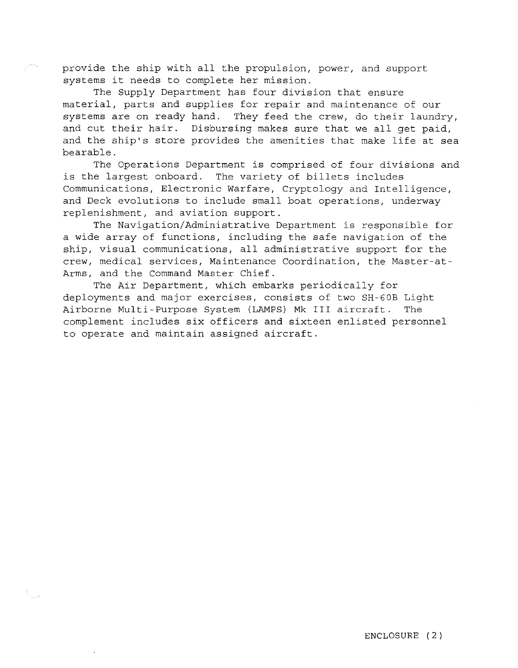provide the ship with all the propulsion, power, and support systems it needs to complete her mission.

The Supply Department has four division that ensure material, parts and supplies for repair and maintenance of our systems are on ready hand. They feed the crew, do their laundry, and cut their hair. Disbursing makes sure that we all get paid, and the ship's store provides the amenities that make life at sea bearable.

The Operations Department is comprised of four divisions and is the largest onboard. The variety of billets includes Communications, Electronic Warfare, Cryptology and Intelligence, and Deck evolutions to include small boat operations, underway replenishment, and aviation support.

The Navigation/Administrative Department is responsible for a wide array of functions, including the safe navigation of the ship, visual communications, all administrative support for the crew, medical services, Maintenance Coordination, the Master-at-Arms, and the Command Master Chief.

The Air Department, which embarks periodically for deployments and major exercises, consists of two SH-60B Light Airborne Multi-Purpose System (LAMPS) Mk III aircraft. The complement includes six officers and sixteen enlisted personnel to operate and maintain assigned aircraft.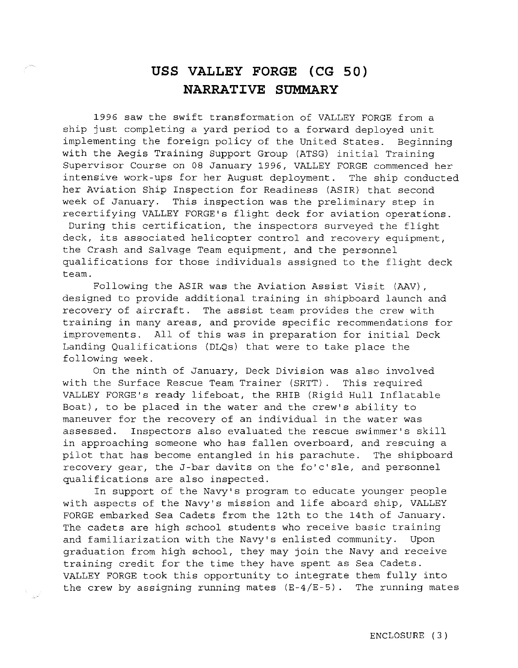## **USS VALLEY FORGE** (CG 50) **NARRATIVE SUMMARY**

1996 saw the swift transformation of VALLEY FORGE from a ship just completing a yard period to a forward deployed unit implementing the foreign policy of the United States. Beginning with the Aegis Training Support Group (ATSG) initial Training Supervisor Course on 08 January 1996, VALLEY FORGE commenced her intensive work-ups for her August deployment. The ship conducted her Aviation Ship Inspection for Readiness (ASIR) that second week of January. This inspection was the preliminary step in recertifying VALLEY FORGE'S flight deck for aviation operations. During this certification, the inspectors surveyed the flight deck, its associated helicopter control and recovery equipment, the Crash and Salvage Team equipment, and the personnel qualifications for those individuals assigned to the flight deck team.

Following the ASIR was the Aviation Assist Visit (AAV), designed to provide additional training in shipboard launch and recovery of aircraft. The assist team provides the crew with training in many areas, and provide specific recommendations for improvements. All of this was in preparation for initial Deck Landing Qualifications (DLQs) that were to take place the following week.

On the ninth of January, Deck Division was also involved with the Surface Rescue Team Trainer (SRTT) . This required VALLEY FORGE'S ready lifeboat, the RHIB (Rigid Hull Inflatable Boat), to be placed in the water and the crew's ability to maneuver for the recovery of an individual in the water was assessed. Inspectors also evaluated the rescue swimmer's skill in approaching someone who has fallen overboard, and rescuing a pilot that has become entangled in his parachute. The shipboard recovery gear, the J-bar davits on the fo'c'sle, and personnel qualifications are also inspected.

In support of the Navy's program to educate younger people with aspects of the Navy's mission and life aboard ship, VALLEY FORGE embarked Sea Cadets from the 12th to the 14th of January. The cadets are high school students who receive basic training and familiarization with the Navy's enlisted community. Upon graduation from high school, they may join the Navy and receive training credit for the time they have spent as Sea Cadets. VALLEY FORGE took this opportunity to integrate them fully into the crew by assigning running mates (E-4/E-5) . The running mates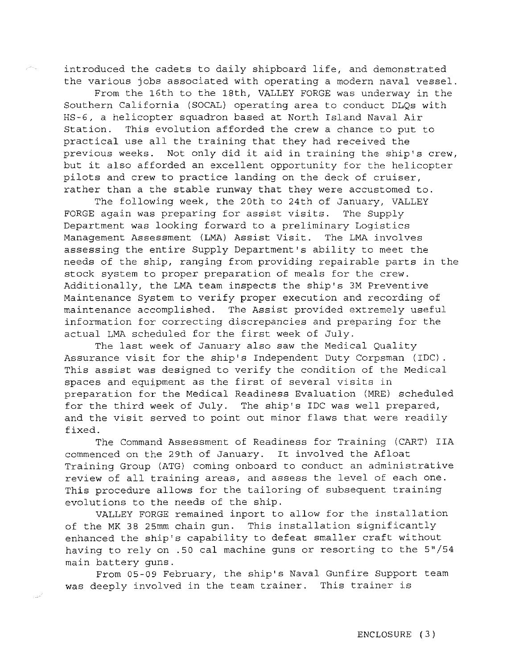introduced the cadets to daily shipboard life, and demonstrated the various jobs associated with operating a modern naval vessel.

From the 16th to the 18th, VALLEY FORGE was underway in the Southern California (SOCAL) operating area to conduct DLQs with HS-6, a helicopter squadron based at North Island Naval Air Station. This evolution afforded the crew a chance to put to practical use all the training that they had received the previous weeks. Not only did it aid in training the ship's crew, but it also afforded an excellent opportunity for the helicopter pilots and crew to practice landing on the deck of cruiser, rather than a the stable runway that they were accustomed to.

The following week, the 20th to 24th of January, VALLEY FORGE again was preparing for assist visits. The Supply Department was looking forward to a preliminary Logistics Management Assessment (LMA) Assist Visit. The LMA involves assessing the entire Supply Department's ability to meet the needs of the ship, ranging from providing repairable parts in the stock system to proper preparation of meals for the crew. Additionally, the LMA team inspects the ship's 3M Preventive Maintenance System to verify proper execution and recording of maintenance accomplished. The Assist provided extremely useful information for correcting discrepancies and preparing for the actual LMA scheduled for the first week of July.

The last week of January also saw the Medical Quality Assurance visit for the ship's Independent Duty Corpsman (IDC) This assist was designed to verify the condition of the Medical spaces and equipment as the first of several visits in preparation for the Medical Readiness Evaluation (MRE) scheduled for the third week of July. The ship's IDC was well prepared, and the visit served to point out minor flaws that were readily fixed.

The Command Assessment of Readiness for Training (CART) IIA commenced on the 29th of January. It involved the Afloat Training Group (ATG) coming onboard to conduct an administrative review of all training areas, and assess the level of each one. This procedure allows for the tailoring of subsequent training evolutions to the needs of the ship.

VALLEY FORGE remained inport to allow for the installation of the MK 38 25mm chain gun. This installation significantly enhanced the ship's capability to defeat smaller craft without having to rely on .50 cal machine guns or resorting to the 5"/54 main battery guns.

From 05-09 February, the ship's Naval Gunfire Support team was deeply involved in the team trainer. This trainer is

 $\omega^2$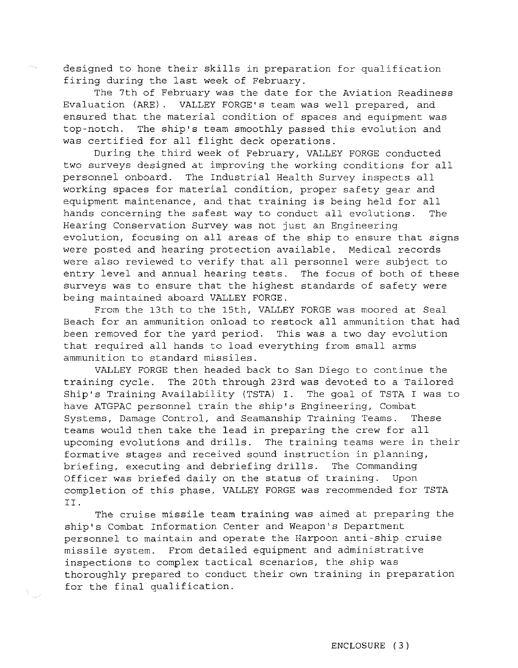designed to hone their skills in preparation for qualification firing during the last week of February.

The 7th of February was the date for the Aviation Readiness Evaluation (ARE). VALLEY FORGE's team was well prepared, and ensured that the material condition of spaces and equipment was top-notch. The ship's team smoothly passed this evolution and was certified for all flight deck operations.

During the third week of February, VALLEY FORGE conducted two surveys designed at improving the working conditions for all personnel onboard. The Industrial Health Survey inspects all working spaces for material condition, proper safety gear and equipment maintenance, and that training is being held for all hands concerning the safest way to conduct all evolutions. The Hearing Conservation Survey was not just an Engineering evolution, focusing on all areas of the ship to ensure that signs were posted and hearing protection available. Medical records were also reviewed to verify that all personnel were subject to entry level and annual hearing tests. The focus of both of these surveys was to ensure that the highest standards of safety were being maintained aboard VALLEY FORGE.

From the 13th to the 15th, VALLEY FORGE was moored at Seal Beach for an ammunition onload to restock all ammunition that had been removed for the yard period. This was a two day evolution that required all hands to load everything from small arms ammunition to standard missiles.

VALLEY FORGE then headed back to San Diego to continue the training cycle. The 20th through 23rd was devoted to a Tailored Ship's Training Availability (TSTA) I. The goal of TSTA I was to have ATGPAC personnel train the ship's Engineering, Combat Systems, Damage Control, and Seamanship Training Teams. These teams would then take the lead in preparing the crew for all upcoming evolutions and drills. The training teams were in their formative stages and received sound instruction in planning, briefing, executing and debriefing drills. The Commanding Officer was briefed daily on the status of training. Upon completion of this phase, VALLEY FORGE was recommended for TSTA II.

The cruise missile team training was aimed at preparing the ship's Combat Information Center and Weapon's Department personnel to maintain and operate the Harpoon anti-ship cruise missile system. From detailed equipment and administrative inspections to complex tactical scenarios, the ship was thoroughly prepared to conduct their own training in preparation for the final qualification.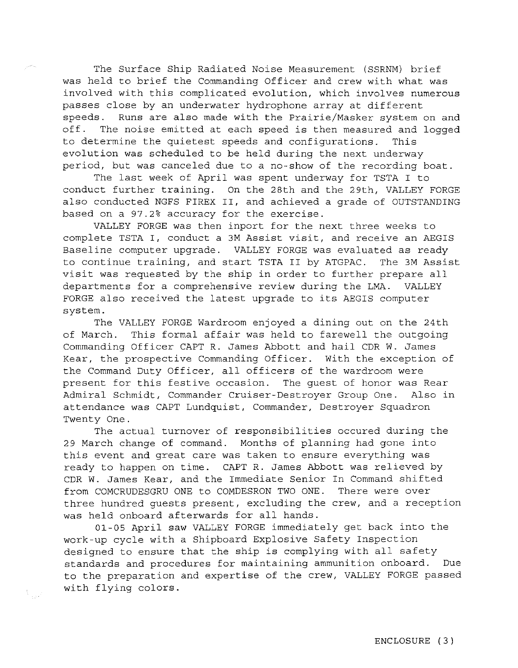The Surface Ship Radiated Noise Measurement (SSRNM) brief was held to brief the Commanding Officer and crew with what was involved with this complicated evolution, which involves numerous passes close by an underwater hydrophone array at different speeds. Runs are also made with the Prairie/Masker system on and off. The noise emitted at each speed is then measured and logged to determine the quietest speeds and configurations. This evolution was scheduled to be held during the next underway period, but was canceled due to a no-show of the recording boat.

The last week of April was spent underway for TSTA I to conduct further training. On the 28th and the 29th, VALLEY FORGE also conducted NGFS FIREX II, and achieved a grade of OUTSTANDING based on a 97.2% accuracy for the exercise.

VALLEY FORGE was then inport for the next three weeks to complete TSTA I, conduct a 3M Assist visit, and receive an AEGIS Baseline computer upgrade. VALLEY FORGE was evaluated as ready to continue training, and start TSTA II by ATGPAC. The 3M Assist visit was requested by the ship in order to further prepare all departments for a comprehensive review during the LMA. VALLEY FORGE also received the latest upgrade to its AEGIS computer system.

The VALLEY FORGE Wardroom enjoyed a dining out on the 24th of March. This formal affair was held to farewell the outgoing Commanding Officer CAPT R. James Abbott and hail CDR W. James Kear, the prospective Commanding Officer. With the exception of the Command Duty Officer, all officers of the wardroom were present for this festive occasion. The guest of honor was Rear Admiral Schmidt, Commander Cruiser-Destroyer Group One. Also in attendance was CAPT Lundquist, Commander, Destroyer Squadron Twenty One.

The actual turnover of responsibilities occured during the 29 March change of command. Months of planning had gone into this event and great care was taken to ensure everything was ready to happen on time. CAPT R. James Abbott was relieved by CDR W. James Kear, and the Immediate Senior In Command shifted from COMCRUDESGRU ONE to COMDESRON TWO ONE. There were over three hundred guests present, excluding the crew, and a reception was held onboard afterwards for all hands.

01-05 April saw VALLEY FORGE immediately get back into the work-up cycle with a Shipboard Explosive Safety Inspection designed to ensure that the ship is complying with all safety standards and procedures for maintaining ammunition onboard. Due to the preparation and expertise of the crew, VALLEY FORGE passed with flying colors.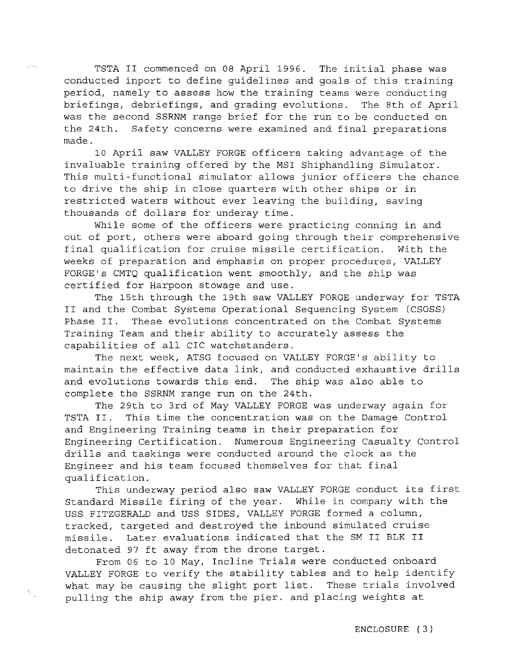TSTA II commenced on 08 April 1996. The initial phase was conducted inport to define guidelines and goals of this training period, namely to assess how the training teams were conducting briefings, debriefings, and grading evolutions. The 8th of April was the second SSRNM range brief for the run to be conducted on the 24th. Safety concerns were examined and final preparations made.

10 April saw VALLEY FORGE officers taking advantage of the invaluable training offered by the MSI Shiphandling Simulator. This multi-functional simulator allows junior officers the chance to drive the ship in close quarters with other ships or in restricted waters without ever leaving the building, saving thousands of dollars for underay time.

While some of the officers were practicing conning in and out of port, others were aboard going through their comprehensive final qualification for cruise missile certification. With the weeks of preparation and emphasis on proper procedures, VALLEY FORGE's CMTQ qualification went smoothly, and the ship was certified for Harpoon stowage and use.

The 15th through the 19th saw VALLEY FORGE underway for TSTA II and the Combat Systems Operational Sequencing System (CSOSS) Phase II. These evolutions concentrated on the Combat Systems Training Team and their ability to accurately assess the capabilities of all CIC watchstanders.

The next week, ATSG focused on VALLEY FORGE's ability to maintain the effective data link, and conducted exhaustive drills and evolutions towards this end. The ship was also able to complete the SSRNM range run on the 24th.

The 29th to 3rd of May VALLEY FORGE was underway again for TSTA II. This time the concentration was on the Damage Control and Engineering Training teams in their preparation for Engineering Certification. Numerous Engineering Casualty Control drills and taskings were conducted around the clock as the Engineer and his team focused themselves for that final qualification.

This underway period also saw VALLEY FORGE conduct its first Standard Missile firing of the year. While in company with the USS FITZGERALD and USS SIDES, VALLEY FORGE formed a column, tracked, targeted and destroyed the inbound simulated cruise missile. Later evaluations indicated that the SM II BLK II detonated 97 ft away from the drone target.

From 06 to 10 May, Incline Trials were conducted onboard VALLEY FORGE to verify the stability tables and to help identify what may be causing the slight port list. These trials involved pulling the ship away from the pier. and placing weights at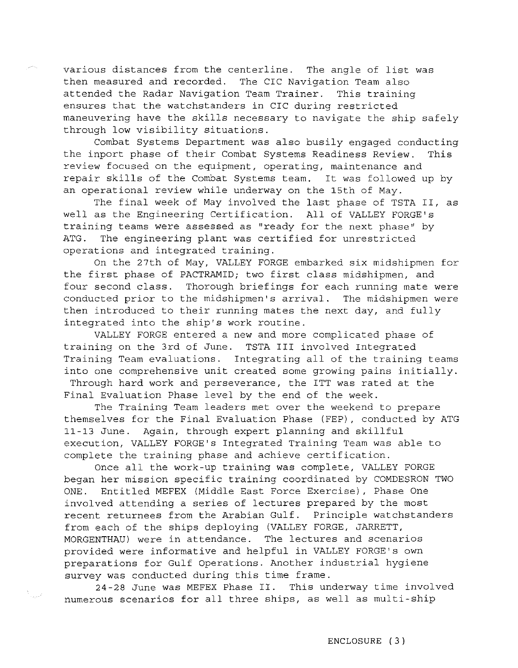various distances from the centerline. The angle of list was then measured and recorded. The CIC Navigation Team also attended the Radar Navigation Team Trainer. This training ensures that the watchstanders in CIC during restricted maneuvering have the skills necessary to navigate the ship safely through low visibility situations.

Combat Systems Department was also busily engaged conducting the inport phase of their Combat Systems Readiness Review. This review focused on the equipment, operating, maintenance and repair skills of the Combat Systems team. It was followed up by an operational review while underway on the 15th of May.

The final week of May involved the last phase of TSTA II, as well as the Engineering Certification. All of VALLEY FORGE'S training teams were assessed as "ready for the next phase" by ATG. The engineering plant was certified for unrestricted operations and integrated training.

On the 27th of May, VALLEY FORGE embarked six midshipmen for the first phase of PACTRAMID; two first class midshipmen, and four second class. Thorough briefings for each running mate were conducted prior to the midshipmen's arrival. The midshipmen were then introduced to their running mates the next day, and fully integrated into the ship's work routine.

VALLEY FORGE entered a new and more complicated phase of training on the 3rd of June. TSTA III involved Integrated Training Team evaluations. Integrating all of the training teams into one comprehensive unit created some growing pains initially. Through hard work and perseverance, the ITT was rated at the Final Evaluation Phase level by the end of the week.

The Training Team leaders met over the weekend to prepare themselves for the Final Evaluation Phase (FEP), conducted by ATG 11-13 June. Again, through expert planning and skillful execution, VALLEY FORGE'S Integrated Training Team was able to complete the training phase and achieve certification.

Once all the work-up training was complete, VALLEY FORGE began her mission specific training coordinated by COMDESRON TWO ONE. Entitled MEFEX (Middle East Force Exercise), Phase One involved attending a series of lectures prepared by the most recent returnees from the Arabian Gulf. Principle watchstanders from each of the ships deploying (VALLEY FORGE, JARRETT, MORGENTHAU) were in attendance. The lectures and scenarios provided were informative and helpful in VALLEY FORGE'S own preparations for Gulf Operations. Another industrial hygiene survey was conducted during this time frame.

24-28 June was MEFEX Phase II. This underway time involved numerous scenarios for all three ships, as well as multi-ship

i<br>Tanzan<sup>ia</sup>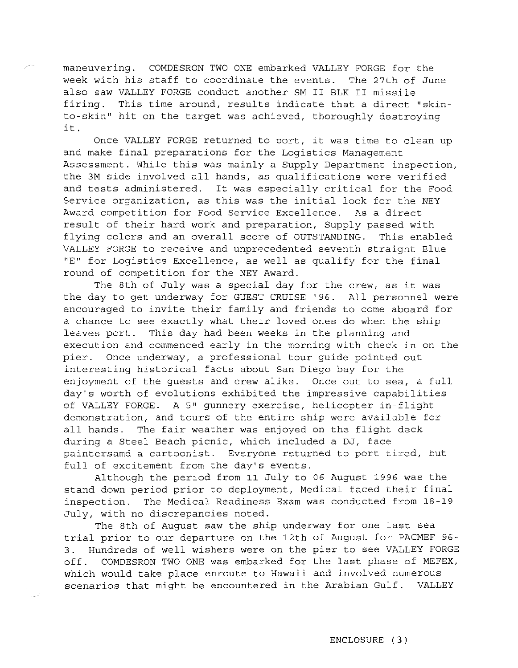maneuvering. COMDESRON TWO ONE embarked VALLEY FORGE for the week with his staff to coordinate the events. The 27th of June also saw VALLEY FORGE conduct another SM II BLK II missile firing. This time around, results indicate that a direct ''skinto-skin" hit on the target was achieved, thoroughly destroying it.

Once VALLEY FORGE returned to port, it was time to clean up and make final preparations for the Logistics Management Assessment. While this was mainly a Supply Department inspection, the 3M side involved all hands, as qualifications were verified and tests administered. It was especially critical for the Food Service organization, as this was the initial look for the NEY Award competition for Food Service Excellence. As a direct result of their hard work and preparation, Supply passed with flying colors and an overall score of OUTSTANDING. This enabled VALLEY FORGE to receive and unprecedented seventh straight Blue "E" for Logistics Excellence, as well as qualify for the final round of competition for the NEY Award.

The 8th of July was a special day for the crew, as it was the day to get underway for GUEST CRUISE '96. All personnel were encouraged to invite their family and friends to come aboard for a chance to see exactly what their loved ones do when the ship leaves port. This day had been weeks in the planning and execution and commenced early in the morning with check in on the pier. Once underway, a professional tour guide pointed out interesting historical facts about San Diego bay for the enjoyment of the guests and crew alike. Once out to sea, a full day's worth of evolutions exhibited the impressive capabilities of VALLEY FORGE. A 5" gunnery exercise, helicopter in-flight demonstration, and tours of the entire ship were available for all hands. The fair weather was enjoyed on the flight deck during a Steel Beach picnic, which included a DJ, face paintersamd a cartoonist. Everyone returned to port tired, but full of excitement from the day's events.

Although the period from 11 July to 06 August 1996 was the stand down period prior to deployment, Medical faced their final inspection. The Medical Readiness Exam was conducted from 18-19 July, with no discrepancies noted.

The 8th of August saw the ship underway for one last sea trial prior to our departure on the 12th of August for PACMEF 96- 3. Hundreds of well wishers were on the pier to see VALLEY FORGE off. COMDESRON TWO ONE was embarked for the last phase of MEFEX, which would take place enroute to Hawaii and involved numerous scenarios that might be encountered in the Arabian Gulf. VALLEY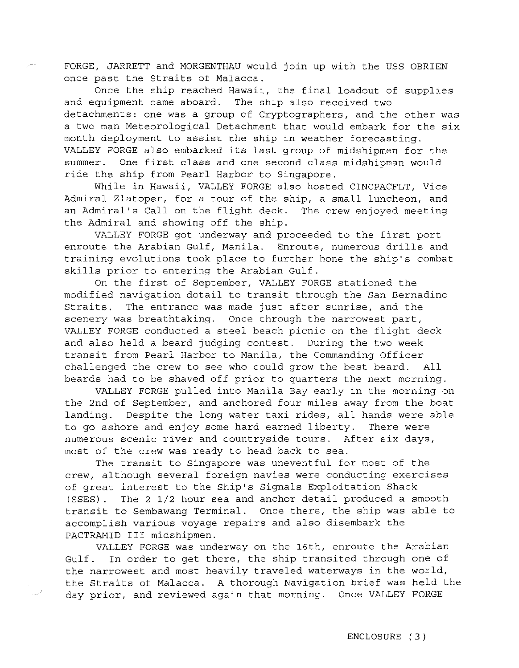FORGE, JARRETT and MORGENTHAU would join up with the USS OBRIEN once past the Straits of Malacca.

Once the ship reached Hawaii, the final loadout of supplies and equipment came aboard. The ship also received two detachments: one was a group of Cryptographers, and the other was a two man Meteorological Detachment that would embark for the six month deployment to assist the ship in weather forecasting. VALLEY FORGE also embarked its last group of midshipmen for the summer. One first class and one second class midshipman would ride the ship from Pearl Harbor to Singapore.

While in Hawaii, VALLEY FORGE also hosted CINCPACFLT, Vice Admiral Zlatoper, for a tour of the ship, a small luncheon, and an Admiral's Call on the flight deck. The crew enjoyed meeting the Admiral and showing off the ship.

VALLEY FORGE got underway and proceeded to the first port enroute the Arabian Gulf, Manila. Enroute, numerous drills and training evolutions took place to further hone the ship's combat skills prior to entering the Arabian Gulf.

On the first of September, VALLEY FORGE stationed the modified navigation detail to transit through the San Bernadina Straits. The entrance was made just after sunrise, and the scenery was breathtaking. Once through the narrowest part, VALLEY FORGE conducted a steel beach picnic on the flight deck and also held a beard judging contest. During the two week transit from Pearl Harbor to Manila, the Commanding Officer challenged the crew to see who could grow the best beard. All beards had to be shaved off prior to quarters the next morning.

VALLEY FORGE pulled into Manila Bay early in the morning on the 2nd of September, and anchored four miles away from the boat landing. Despite the long water taxi rides, all hands were able to go ashore and enjoy some hard earned liberty. There were numerous scenic river and countryside tours. After six days, most of the crew was ready to head back to sea.

The transit to Singapore was uneventful for most of the crew, although several foreign navies were conducting exercises of great interest to the Ship's Signals Exploitation Shack (SSES) . The 2 1/2 hour sea and anchor detail produced a smooth transit to Sembawang Terminal. Once there, the ship was able to accomplish various voyage repairs and also disembark the PACTRAMID III midshipmen.

VALLEY FORGE was underway on the 16th, enroute the Arabian Gulf. In order to get there, the ship transited through one of the narrowest and most heavily traveled waterways in the world, the Straits of Malacca. A thorough Navigation brief was held the day prior, and reviewed again that morning. Once VALLEY FORGE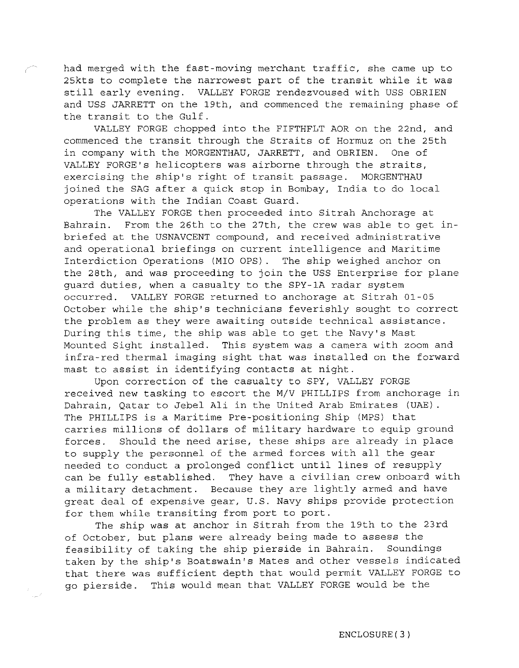had merged with the fast-moving merchant traffic, she came up to 25kts to complete the narrowest part of the transit while it was still early evening. VALLEY FORGE rendezvoused with USS OBRIEN and USS JARRETT on the 19th, and commenced the remaining phase of the transit to the Gulf.

VALLEY FORGE chopped into the FIFTHFLT AOR on the 22nd, and commenced the transit through the Straits of Hormuz on the 25th in company with the MORGENTHAU, JARRETT, and OBRIEN. One of VALLEY FORGE's helicopters was airborne through the straits, exercising the ship's right of transit passage. MORGENTHAU joined the SAG after a quick stop in Bombay, India to do local operations with the Indian Coast Guard.

The VALLEY FORGE then proceeded into Sitrah Anchorage at Bahrain. From the 26th to the 27th, the crew was able to get inbriefed at the USNAVCENT compound, and received administrative and operational briefings on current intelligence and Maritime Interdiction Operations (MIO OPS) . The ship weighed anchor on the 28th, and was proceeding to join the USS Enterprise for plane guard duties, when a casualty to the SPY-1A radar system occurred. VALLEY FORGE returned to anchorage at Sitrah 01-05 October while the ship's technicians feverishly sought to correct the problem as they were awaiting outside technical assistance. During this time, the ship was able to get the Navy's Mast Mounted Sight installed. This system was a camera with zoom and infra-red thermal imaging sight that was installed on the forward mast to assist in identifying contacts at night.

Upon correction of the casualty to SPY, VALLEY FORGE received new tasking to escort the M/V PHILLIPS from anchorage in Dahrain, Qatar to Jebel Ali in the United Arab Emirates (UAE) . The PHILLIPS is a Maritime Pre-positioning Ship (MPS) that carries millions of dollars of military hardware to equip ground forces. Should the need arise, these ships are already in place to supply the personnel of the armed forces with all the gear needed to conduct a prolonged conflict until lines of resupply can be fully established. They have a civilian crew onboard with a military detachment. Because they are lightly armed and have great deal of expensive gear, U.S. Navy ships provide protection for them while transiting from port to port.

The ship was at anchor in Sitrah from the 19th to the 23rd of October, but plans were already being made to assess the feasibility of taking the ship pierside in Bahrain. Soundings taken by the ship's Boatswain's Mates and other vessels indicated that there was sufficient depth that would permit VALLEY FORGE to go pierside. This would mean that VALLEY FORGE would be the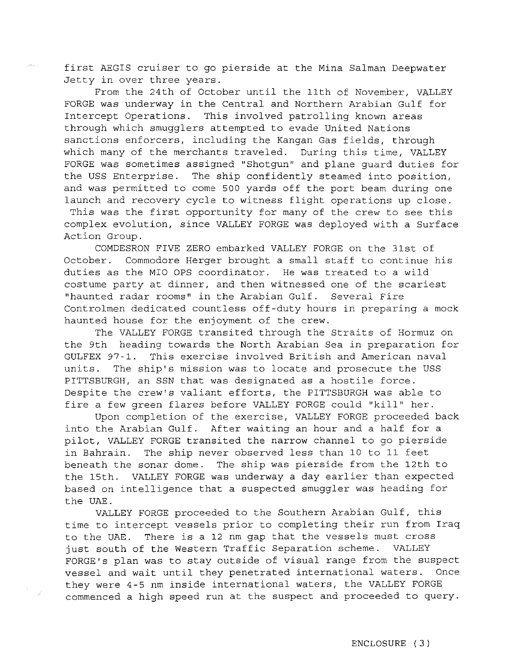first AEGIS cruiser to go pierside at the Mina Salman Deepwater Jetty in over three years.

From the 24th of October until the 11th of November, VALLEY FORGE was underway in the Central and Northern Arabian Gulf for Intercept Operations. This involved patrolling known areas through which smugglers attempted to evade United Nations sanctions enforcers, including the Kangan Gas fields, through which many of the merchants traveled. During this time, VALLEY FORGE was sometimes assigned "Shotgun" and plane guard duties for the USS Enterprise. The ship confidently steamed into position, and was permitted to come 500 yards off the port beam during one launch and recovery cycle to witness flight operations up close. This was the first opportunity for many of the crew to see this complex evolution, since VALLEY FORGE was deployed with a Surface

Action Group.

COMDESRON FIVE ZERO embarked VALLEY FORGE on the 31st of October. Commodore Herger brought a small staff to continue his duties as the MIO OPS coordinator. He was treated to a wild costume party at dinner, and then witnessed one of the scariest "haunted radar rooms" in the Arabian Gulf. Several Fire Controlmen dedicated countless off-duty hours in preparing a mock haunted house for the enjoyment of the crew.

The VALLEY FORGE transited through the Straits of Hormuz on the 9th heading towards the North Arabian Sea in preparation for GULFEX 97-1. This exercise involved British and American naval units. The ship's mission was to locate and prosecute the USS PITTSBURGH, an SSN that was designated as a hostile force. Despite the crew's valiant efforts, the PITTSBURGH was able to fire a few green flares before VALLEY FORGE could "kill" her.

Upon completion of the exercise, VALLEY FORGE proceeded back into the Arabian Gulf. After waiting an hour and a half for a pilot, VALLEY FORGE transited the narrow channel to go pierside in Bahrain. The ship never observed less than 10 to 11 feet beneath the sonar dome. The ship was pierside from the 12th to the 15th. VALLEY FORGE was underway a day earlier than expected based on intelligence that a suspected smuggler was heading for the UAE.

VALLEY FORGE proceeded to the Southern Arabian Gulf, this time to intercept vessels prior to completing their run from Iraq to the UAE. There is a 12 nm gap that the vessels must cross just south of the Western Traffic Separation scheme. VALLEY FORGE's plan was to stay outside of visual range from the suspect vessel and wait until they penetrated international waters. Once they were 4-5 nm inside international waters, the VALLEY FORGE commenced a high speed run at the suspect and proceeded to query.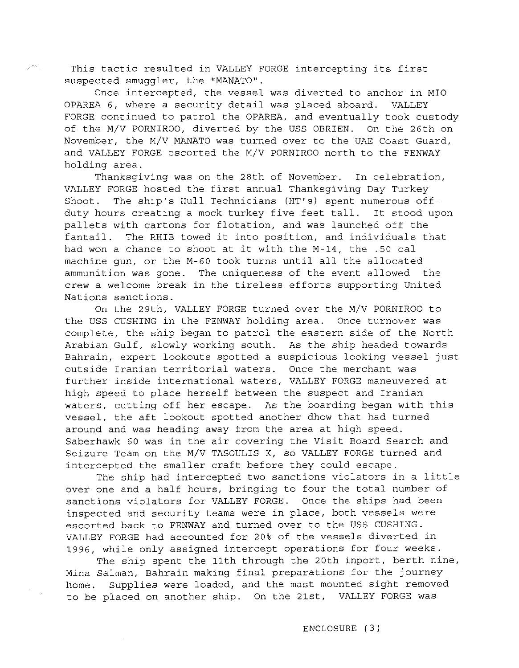This tactic resulted in VALLEY FORGE intercepting its first suspected smuggler, the "MANATO".

Once intercepted, the vessel was diverted to anchor in MIO OPAREA 6, where a security detail was placed aboard. VALLEY FORGE continued to patrol the OPAREA, and eventually took custody of the M/V PORNIROO, diverted by the USS OBRIEN. On the 26th on November, the M/V MANATO was turned over to the UAE Coast Guard, and VALLEY FORGE escorted the M/V PORNIROO north to the FENWAY holding area.

Thanksgiving was on the 28th of November. In celebration, VALLEY FORGE hosted the first annual Thanksgiving Day Turkey Shoot. The ship's Hull Technicians (HT's) spent numerous offduty hours creating a mock turkey five feet tall. It stood upon pallets with cartons for flotation, and was launched off the fantail. The RHIB towed it into position, and individuals that had won a chance to shoot at it with the M-14, the .50 cal machine gun, or the M-60 took turns until all the allocated ammunition was gone. The uniqueness of the event allowed the crew a welcome break in the tireless efforts supporting United Nations sanctions.

On the 29th, VALLEY FORGE turned over the M/V PORNIROO to the USS CUSHING in the FENWAY holding area. Once turnover was complete, the ship began to patrol the eastern side of the North Arabian Gulf, slowly working south. As the ship headed towards Bahrain, expert lookouts spotted a suspicious looking vessel just outside Iranian territorial waters. Once the merchant was further inside international waters, VALLEY FORGE maneuvered at high speed to place herself between the suspect and Iranian waters, cutting off her escape. As the boarding began with this vessel, the aft lookout spotted another dhow that had turned around and was heading away from the area at high speed. Saberhawk 60 was in the air covering the Visit Board Search and Seizure Team on the M/V TASOULIS K, so VALLEY FORGE turned and intercepted the smaller craft before they could escape.

The ship had intercepted two sanctions violators in a little over one and a half hours, bringing to four the total number of sanctions violators for VALLEY FORGE. Once the ships had been inspected and security teams were in place, both vessels were escorted back to FENWAY and turned over to the USS CUSHING. VALLEY FORGE had accounted for 20% of the vessels diverted in 1996, while only assigned intercept operations for four weeks.

The ship spent the 11th through the 20th inport, berth nine, Mina Salman, Bahrain making final preparations for the journey home. Supplies were loaded, and the mast mounted sight removed to be placed on another ship. On the 21st, VALLEY FORGE was